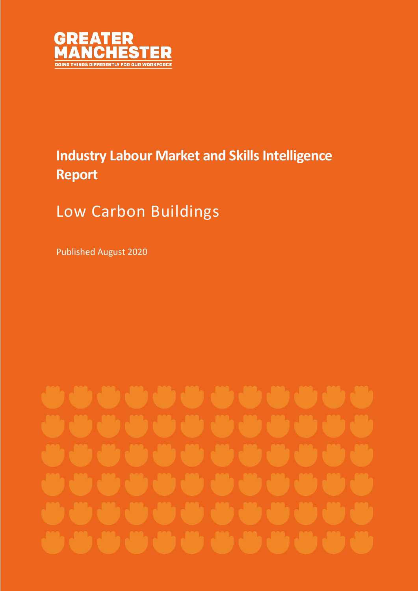

## **Industry Labour Market and Skills Intelligence Report**

# Low Carbon Buildings

Published August 2020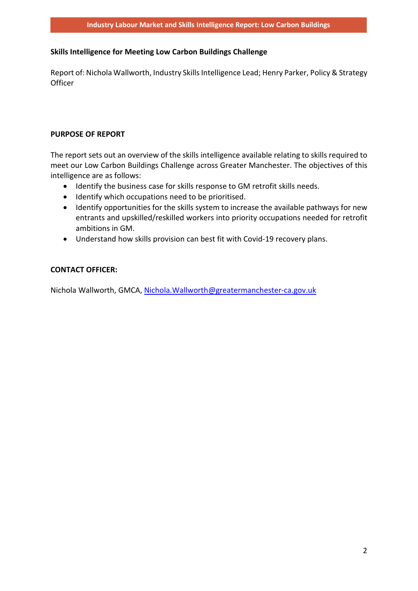### **Skills Intelligence for Meeting Low Carbon Buildings Challenge**

Report of: Nichola Wallworth, Industry Skills Intelligence Lead; Henry Parker, Policy & Strategy **Officer** 

### **PURPOSE OF REPORT**

The report sets out an overview of the skills intelligence available relating to skills required to meet our Low Carbon Buildings Challenge across Greater Manchester. The objectives of this intelligence are as follows:

- Identify the business case for skills response to GM retrofit skills needs.
- Identify which occupations need to be prioritised.
- Identify opportunities for the skills system to increase the available pathways for new entrants and upskilled/reskilled workers into priority occupations needed for retrofit ambitions in GM.
- Understand how skills provision can best fit with Covid-19 recovery plans.

## **CONTACT OFFICER:**

Nichola Wallworth, GMCA, [Nichola.Wallworth@greatermanchester-ca.gov.uk](mailto:Nichola.Wallworth@greatermanchester-ca.gov.uk)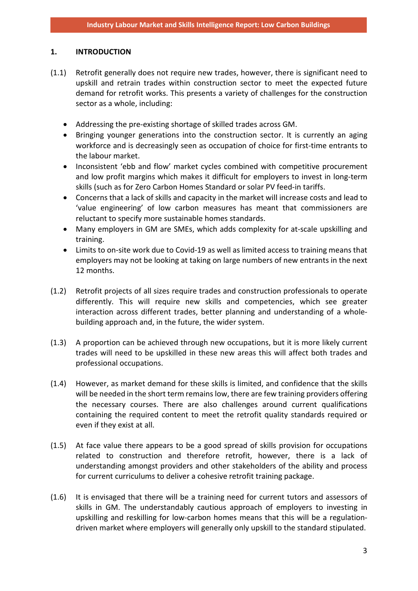#### **1. INTRODUCTION**

- (1.1) Retrofit generally does not require new trades, however, there is significant need to upskill and retrain trades within construction sector to meet the expected future demand for retrofit works. This presents a variety of challenges for the construction sector as a whole, including:
	- Addressing the pre-existing shortage of skilled trades across GM.
	- Bringing younger generations into the construction sector. It is currently an aging workforce and is decreasingly seen as occupation of choice for first-time entrants to the labour market.
	- Inconsistent 'ebb and flow' market cycles combined with competitive procurement and low profit margins which makes it difficult for employers to invest in long-term skills (such as for Zero Carbon Homes Standard or solar PV feed-in tariffs.
	- Concerns that a lack of skills and capacity in the market will increase costs and lead to 'value engineering' of low carbon measures has meant that commissioners are reluctant to specify more sustainable homes standards.
	- Many employers in GM are SMEs, which adds complexity for at-scale upskilling and training.
	- Limits to on-site work due to Covid-19 as well as limited access to training means that employers may not be looking at taking on large numbers of new entrants in the next 12 months.
- (1.2) Retrofit projects of all sizes require trades and construction professionals to operate differently. This will require new skills and competencies, which see greater interaction across different trades, better planning and understanding of a wholebuilding approach and, in the future, the wider system.
- (1.3) A proportion can be achieved through new occupations, but it is more likely current trades will need to be upskilled in these new areas this will affect both trades and professional occupations.
- (1.4) However, as market demand for these skills is limited, and confidence that the skills will be needed in the short term remains low, there are few training providers offering the necessary courses. There are also challenges around current qualifications containing the required content to meet the retrofit quality standards required or even if they exist at all.
- (1.5) At face value there appears to be a good spread of skills provision for occupations related to construction and therefore retrofit, however, there is a lack of understanding amongst providers and other stakeholders of the ability and process for current curriculums to deliver a cohesive retrofit training package.
- (1.6) It is envisaged that there will be a training need for current tutors and assessors of skills in GM. The understandably cautious approach of employers to investing in upskilling and reskilling for low-carbon homes means that this will be a regulationdriven market where employers will generally only upskill to the standard stipulated.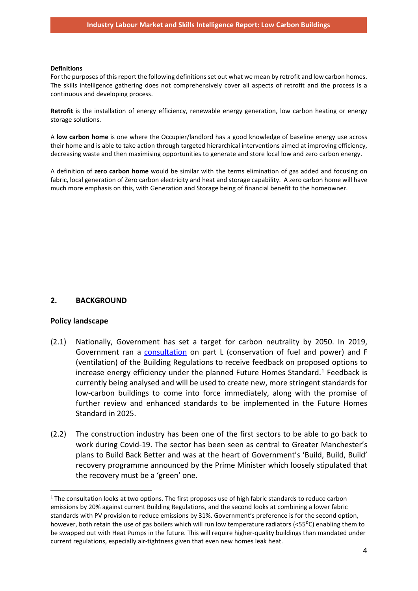#### **Definitions**

For the purposes of this report the following definitions set out what we mean by retrofit and low carbon homes. The skills intelligence gathering does not comprehensively cover all aspects of retrofit and the process is a continuous and developing process.

**Retrofit** is the installation of energy efficiency, renewable energy generation, low carbon heating or energy storage solutions.

A **low carbon home** is one where the Occupier/landlord has a good knowledge of baseline energy use across their home and is able to take action through targeted hierarchical interventions aimed at improving efficiency, decreasing waste and then maximising opportunities to generate and store local low and zero carbon energy.

A definition of **zero carbon home** would be similar with the terms elimination of gas added and focusing on fabric, local generation of Zero carbon electricity and heat and storage capability. A zero carbon home will have much more emphasis on this, with Generation and Storage being of financial benefit to the homeowner.

## **2. BACKGROUND**

#### **Policy landscape**

- (2.1) Nationally, Government has set a target for carbon neutrality by 2050. In 2019, Government ran a [consultation](https://www.gov.uk/government/consultations/the-future-homes-standard-changes-to-part-l-and-part-f-of-the-building-regulations-for-new-dwellings) on part L (conservation of fuel and power) and F (ventilation) of the Building Regulations to receive feedback on proposed options to increase energy efficiency under the planned Future Homes Standard.<sup>[1](#page-3-0)</sup> Feedback is currently being analysed and will be used to create new, more stringent standards for low-carbon buildings to come into force immediately, along with the promise of further review and enhanced standards to be implemented in the Future Homes Standard in 2025.
- (2.2) The construction industry has been one of the first sectors to be able to go back to work during Covid-19. The sector has been seen as central to Greater Manchester's plans to Build Back Better and was at the heart of Government's 'Build, Build, Build' recovery programme announced by the Prime Minister which loosely stipulated that the recovery must be a 'green' one.

<span id="page-3-0"></span><sup>&</sup>lt;sup>1</sup> The consultation looks at two options. The first proposes use of high fabric standards to reduce carbon emissions by 20% against current Building Regulations, and the second looks at combining a lower fabric standards with PV provision to reduce emissions by 31%. Government's preference is for the second option, however, both retain the use of gas boilers which will run low temperature radiators (<55°C) enabling them to be swapped out with Heat Pumps in the future. This will require higher-quality buildings than mandated under current regulations, especially air-tightness given that even new homes leak heat.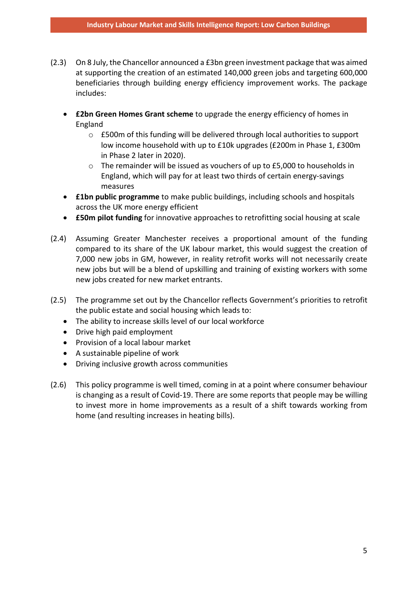- (2.3) On 8 July, the Chancellor announced a £3bn green investment package that was aimed at supporting the creation of an estimated 140,000 green jobs and targeting 600,000 beneficiaries through building energy efficiency improvement works. The package includes:
	- **£2bn Green Homes Grant scheme** to upgrade the energy efficiency of homes in England
		- o £500m of this funding will be delivered through local authorities to support low income household with up to £10k upgrades (£200m in Phase 1, £300m in Phase 2 later in 2020).
		- $\circ$  The remainder will be issued as vouchers of up to £5,000 to households in England, which will pay for at least two thirds of certain energy-savings measures
	- **£1bn public programme** to make public buildings, including schools and hospitals across the UK more energy efficient
	- **£50m pilot funding** for innovative approaches to retrofitting social housing at scale
- (2.4) Assuming Greater Manchester receives a proportional amount of the funding compared to its share of the UK labour market, this would suggest the creation of 7,000 new jobs in GM, however, in reality retrofit works will not necessarily create new jobs but will be a blend of upskilling and training of existing workers with some new jobs created for new market entrants.
- (2.5) The programme set out by the Chancellor reflects Government's priorities to retrofit the public estate and social housing which leads to:
	- The ability to increase skills level of our local workforce
	- Drive high paid employment
	- Provision of a local labour market
	- A sustainable pipeline of work
	- Driving inclusive growth across communities
- (2.6) This policy programme is well timed, coming in at a point where consumer behaviour is changing as a result of Covid-19. There are some reports that people may be willing to invest more in home improvements as a result of a shift towards working from home (and resulting increases in heating bills).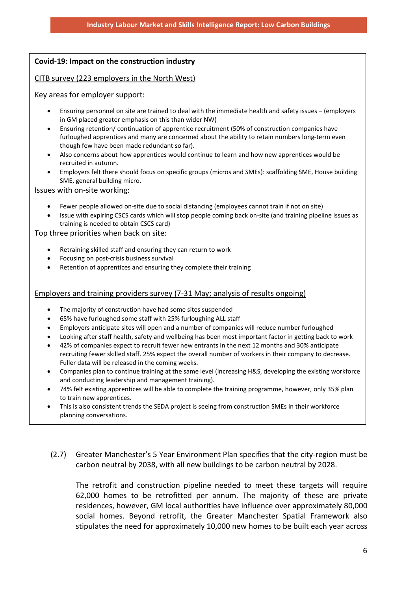## **Covid-19: Impact on the construction industry**

CITB survey (223 employers in the North West)

Key areas for employer support:

- Ensuring personnel on site are trained to deal with the immediate health and safety issues (employers in GM placed greater emphasis on this than wider NW)
- Ensuring retention/ continuation of apprentice recruitment (50% of construction companies have furloughed apprentices and many are concerned about the ability to retain numbers long-term even though few have been made redundant so far).
- Also concerns about how apprentices would continue to learn and how new apprentices would be recruited in autumn.
- Employers felt there should focus on specific groups (micros and SMEs): scaffolding SME, House building SME, general building micro.

Issues with on-site working:

- Fewer people allowed on-site due to social distancing (employees cannot train if not on site)
- Issue with expiring CSCS cards which will stop people coming back on-site (and training pipeline issues as training is needed to obtain CSCS card)

Top three priorities when back on site:

- Retraining skilled staff and ensuring they can return to work
- Focusing on post-crisis business survival
- Retention of apprentices and ensuring they complete their training

### Employers and training providers survey (7-31 May; analysis of results ongoing)

- The majority of construction have had some sites suspended
- 65% have furloughed some staff with 25% furloughing ALL staff
- Employers anticipate sites will open and a number of companies will reduce number furloughed
- Looking after staff health, safety and wellbeing has been most important factor in getting back to work
- 42% of companies expect to recruit fewer new entrants in the next 12 months and 30% anticipate recruiting fewer skilled staff. 25% expect the overall number of workers in their company to decrease. Fuller data will be released in the coming weeks.
- Companies plan to continue training at the same level (increasing H&S, developing the existing workforce and conducting leadership and management training).
- 74% felt existing apprentices will be able to complete the training programme, however, only 35% plan to train new apprentices.
- This is also consistent trends the SEDA project is seeing from construction SMEs in their workforce planning conversations.
- (2.7) Greater Manchester's 5 Year Environment Plan specifies that the city-region must be carbon neutral by 2038, with all new buildings to be carbon neutral by 2028.

The retrofit and construction pipeline needed to meet these targets will require 62,000 homes to be retrofitted per annum. The majority of these are private residences, however, GM local authorities have influence over approximately 80,000 social homes. Beyond retrofit, the Greater Manchester Spatial Framework also stipulates the need for approximately 10,000 new homes to be built each year across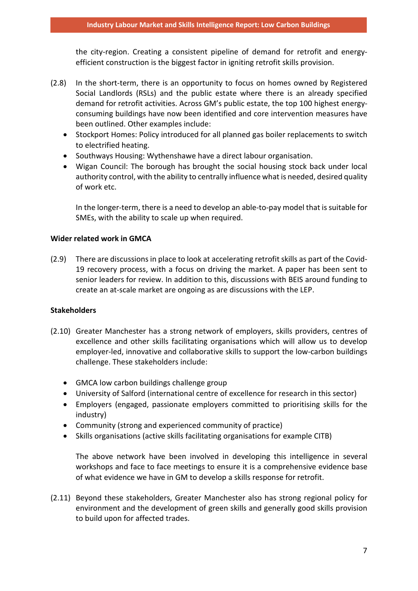the city-region. Creating a consistent pipeline of demand for retrofit and energyefficient construction is the biggest factor in igniting retrofit skills provision.

- (2.8) In the short-term, there is an opportunity to focus on homes owned by Registered Social Landlords (RSLs) and the public estate where there is an already specified demand for retrofit activities. Across GM's public estate, the top 100 highest energyconsuming buildings have now been identified and core intervention measures have been outlined. Other examples include:
	- Stockport Homes: Policy introduced for all planned gas boiler replacements to switch to electrified heating.
	- Southways Housing: Wythenshawe have a direct labour organisation.
	- Wigan Council: The borough has brought the social housing stock back under local authority control, with the ability to centrally influence what is needed, desired quality of work etc.

In the longer-term, there is a need to develop an able-to-pay model that is suitable for SMEs, with the ability to scale up when required.

### **Wider related work in GMCA**

(2.9) There are discussions in place to look at accelerating retrofit skills as part of the Covid-19 recovery process, with a focus on driving the market. A paper has been sent to senior leaders for review. In addition to this, discussions with BEIS around funding to create an at-scale market are ongoing as are discussions with the LEP.

## **Stakeholders**

- (2.10) Greater Manchester has a strong network of employers, skills providers, centres of excellence and other skills facilitating organisations which will allow us to develop employer-led, innovative and collaborative skills to support the low-carbon buildings challenge. These stakeholders include:
	- GMCA low carbon buildings challenge group
	- University of Salford (international centre of excellence for research in this sector)
	- Employers (engaged, passionate employers committed to prioritising skills for the industry)
	- Community (strong and experienced community of practice)
	- Skills organisations (active skills facilitating organisations for example CITB)

The above network have been involved in developing this intelligence in several workshops and face to face meetings to ensure it is a comprehensive evidence base of what evidence we have in GM to develop a skills response for retrofit.

(2.11) Beyond these stakeholders, Greater Manchester also has strong regional policy for environment and the development of green skills and generally good skills provision to build upon for affected trades.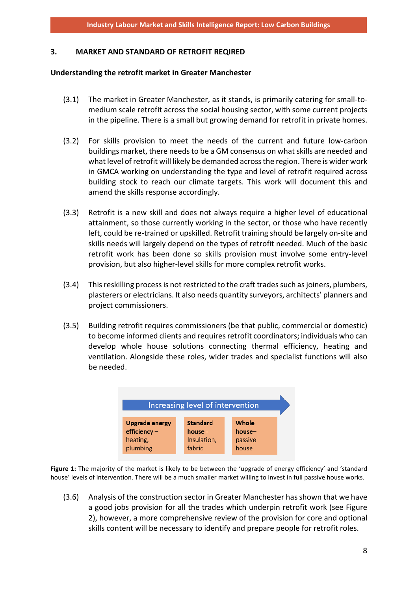#### **3. MARKET AND STANDARD OF RETROFIT REQIRED**

#### **Understanding the retrofit market in Greater Manchester**

- (3.1) The market in Greater Manchester, as it stands, is primarily catering for small-tomedium scale retrofit across the social housing sector, with some current projects in the pipeline. There is a small but growing demand for retrofit in private homes.
- (3.2) For skills provision to meet the needs of the current and future low-carbon buildings market, there needs to be a GM consensus on what skills are needed and what level of retrofit will likely be demanded across the region. There is wider work in GMCA working on understanding the type and level of retrofit required across building stock to reach our climate targets. This work will document this and amend the skills response accordingly.
- (3.3) Retrofit is a new skill and does not always require a higher level of educational attainment, so those currently working in the sector, or those who have recently left, could be re-trained or upskilled. Retrofit training should be largely on-site and skills needs will largely depend on the types of retrofit needed. Much of the basic retrofit work has been done so skills provision must involve some entry-level provision, but also higher-level skills for more complex retrofit works.
- (3.4) This reskilling process is not restricted to the craft trades such as joiners, plumbers, plasterers or electricians. It also needs quantity surveyors, architects' planners and project commissioners.
- (3.5) Building retrofit requires commissioners (be that public, commercial or domestic) to become informed clients and requires retrofit coordinators; individuals who can develop whole house solutions connecting thermal efficiency, heating and ventilation. Alongside these roles, wider trades and specialist functions will also be needed.

| Increasing level of intervention |                 |         |  |
|----------------------------------|-----------------|---------|--|
| <b>Upgrade energy</b>            | <b>Standard</b> | Whole   |  |
| $efficiency -$                   | house -         | house-  |  |
| heating,                         | Insulation,     | passive |  |
| plumbing                         | fabric          | house   |  |

**Figure 1:** The majority of the market is likely to be between the 'upgrade of energy efficiency' and 'standard house' levels of intervention. There will be a much smaller market willing to invest in full passive house works.

(3.6) Analysis of the construction sector in Greater Manchester has shown that we have a good jobs provision for all the trades which underpin retrofit work (see Figure 2), however, a more comprehensive review of the provision for core and optional skills content will be necessary to identify and prepare people for retrofit roles.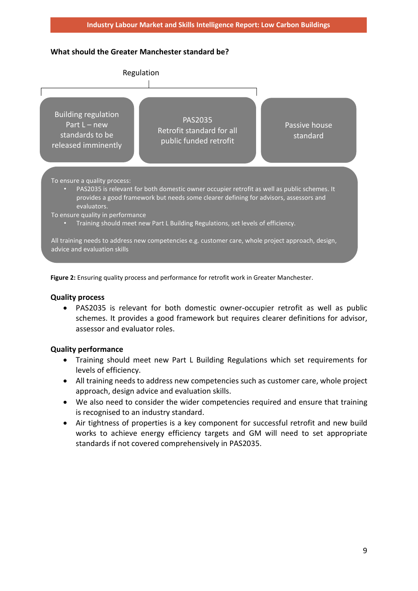## **What should the Greater Manchester standard be?**



**Figure 2:** Ensuring quality process and performance for retrofit work in Greater Manchester.

## **Quality process**

• PAS2035 is relevant for both domestic owner-occupier retrofit as well as public schemes. It provides a good framework but requires clearer definitions for advisor, assessor and evaluator roles.

## **Quality performance**

- Training should meet new Part L Building Regulations which set requirements for levels of efficiency.
- All training needs to address new competencies such as customer care, whole project approach, design advice and evaluation skills.
- We also need to consider the wider competencies required and ensure that training is recognised to an industry standard.
- Air tightness of properties is a key component for successful retrofit and new build works to achieve energy efficiency targets and GM will need to set appropriate standards if not covered comprehensively in PAS2035.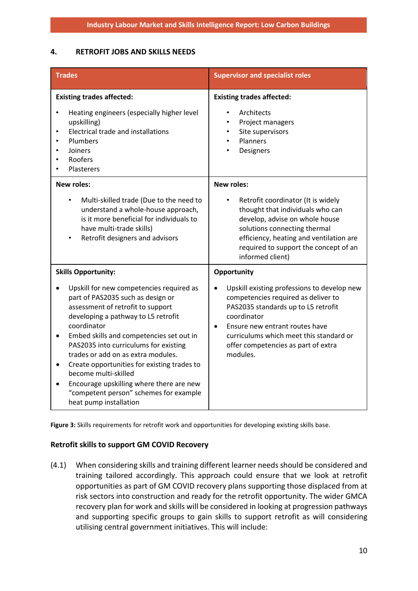## **4. RETROFIT JOBS AND SKILLS NEEDS**

| <b>Trades</b>                                                                                                                                                                                                                                                                                                                                                                                                                                                                                                            | <b>Supervisor and specialist roles</b>                                                                                                                                                                                                                                                               |
|--------------------------------------------------------------------------------------------------------------------------------------------------------------------------------------------------------------------------------------------------------------------------------------------------------------------------------------------------------------------------------------------------------------------------------------------------------------------------------------------------------------------------|------------------------------------------------------------------------------------------------------------------------------------------------------------------------------------------------------------------------------------------------------------------------------------------------------|
| <b>Existing trades affected:</b><br>Heating engineers (especially higher level<br>upskilling)<br><b>Electrical trade and installations</b><br>$\bullet$<br>Plumbers<br>٠<br>Joiners<br>٠<br>Roofers<br><b>Plasterers</b>                                                                                                                                                                                                                                                                                                 | <b>Existing trades affected:</b><br>Architects<br>Project managers<br>Site supervisors<br>$\bullet$<br>Planners<br>$\bullet$<br>Designers                                                                                                                                                            |
| <b>New roles:</b><br>Multi-skilled trade (Due to the need to<br>$\bullet$<br>understand a whole-house approach,<br>is it more beneficial for individuals to<br>have multi-trade skills)<br>Retrofit designers and advisors<br>$\bullet$                                                                                                                                                                                                                                                                                  | <b>New roles:</b><br>Retrofit coordinator (It is widely<br>thought that individuals who can<br>develop, advise on whole house<br>solutions connecting thermal<br>efficiency, heating and ventilation are<br>required to support the concept of an<br>informed client)                                |
| <b>Skills Opportunity:</b><br>Upskill for new competencies required as<br>part of PAS2035 such as design or<br>assessment of retrofit to support<br>developing a pathway to L5 retrofit<br>coordinator<br>Embed skills and competencies set out in<br>PAS2035 into curriculums for existing<br>trades or add on as extra modules.<br>Create opportunities for existing trades to<br>become multi-skilled<br>Encourage upskilling where there are new<br>"competent person" schemes for example<br>heat pump installation | Opportunity<br>Upskill existing professions to develop new<br>competencies required as deliver to<br>PAS2035 standards up to L5 retrofit<br>coordinator<br>Ensure new entrant routes have<br>$\bullet$<br>curriculums which meet this standard or<br>offer competencies as part of extra<br>modules. |

**Figure 3:** Skills requirements for retrofit work and opportunities for developing existing skills base.

#### **Retrofit skills to support GM COVID Recovery**

(4.1) When considering skills and training different learner needs should be considered and training tailored accordingly. This approach could ensure that we look at retrofit opportunities as part of GM COVID recovery plans supporting those displaced from at risk sectors into construction and ready for the retrofit opportunity. The wider GMCA recovery plan for work and skills will be considered in looking at progression pathways and supporting specific groups to gain skills to support retrofit as will considering utilising central government initiatives. This will include: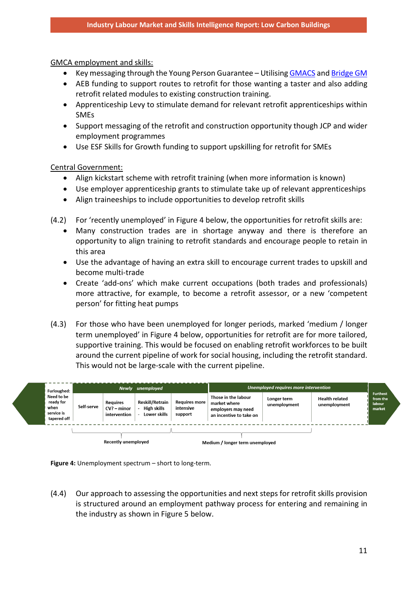GMCA employment and skills:

- Key messaging through the Young Person Guarantee Utilisin[g GMACS](https://gmacs.co.uk/) and [Bridge GM](https://bridgegm.co.uk/)
- AEB funding to support routes to retrofit for those wanting a taster and also adding retrofit related modules to existing construction training.
- Apprenticeship Levy to stimulate demand for relevant retrofit apprenticeships within SMEs
- Support messaging of the retrofit and construction opportunity though JCP and wider employment programmes
- Use ESF Skills for Growth funding to support upskilling for retrofit for SMEs

Central Government:

- Align kickstart scheme with retrofit training (when more information is known)
- Use employer apprenticeship grants to stimulate take up of relevant apprenticeships
- Align traineeships to include opportunities to develop retrofit skills

(4.2) For 'recently unemployed' in Figure 4 below, the opportunities for retrofit skills are:

- Many construction trades are in shortage anyway and there is therefore an opportunity to align training to retrofit standards and encourage people to retain in this area
- Use the advantage of having an extra skill to encourage current trades to upskill and become multi-trade
- Create 'add-ons' which make current occupations (both trades and professionals) more attractive, for example, to become a retrofit assessor, or a new 'competent person' for fitting heat pumps
- (4.3) For those who have been unemployed for longer periods, marked 'medium / longer term unemployed' in Figure 4 below, opportunities for retrofit are for more tailored, supportive training. This would be focused on enabling retrofit workforces to be built around the current pipeline of work for social housing, including the retrofit standard. This would not be large-scale with the current pipeline.





(4.4) Our approach to assessing the opportunities and next steps for retrofit skills provision is structured around an employment pathway process for entering and remaining in the industry as shown in Figure 5 below.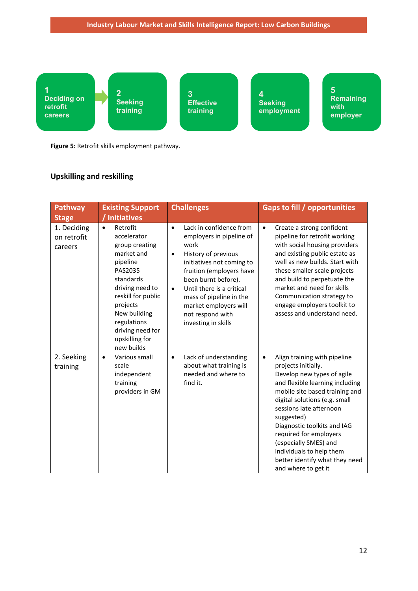

**Figure 5:** Retrofit skills employment pathway.

## **Upskilling and reskilling**

| Pathway<br><b>Stage</b>               | <b>Existing Support</b><br>Initiatives                                                                                                                                                                                                           | <b>Challenges</b>                                                                                                                                                                                                                                                                                                                     | <b>Gaps to fill / opportunities</b>                                                                                                                                                                                                                                                                                                                                                                                  |
|---------------------------------------|--------------------------------------------------------------------------------------------------------------------------------------------------------------------------------------------------------------------------------------------------|---------------------------------------------------------------------------------------------------------------------------------------------------------------------------------------------------------------------------------------------------------------------------------------------------------------------------------------|----------------------------------------------------------------------------------------------------------------------------------------------------------------------------------------------------------------------------------------------------------------------------------------------------------------------------------------------------------------------------------------------------------------------|
| 1. Deciding<br>on retrofit<br>careers | Retrofit<br>$\bullet$<br>accelerator<br>group creating<br>market and<br>pipeline<br>PAS2035<br>standards<br>driving need to<br>reskill for public<br>projects<br>New building<br>regulations<br>driving need for<br>upskilling for<br>new builds | Lack in confidence from<br>$\bullet$<br>employers in pipeline of<br>work<br>History of previous<br>$\bullet$<br>initiatives not coming to<br>fruition (employers have<br>been burnt before).<br>Until there is a critical<br>$\bullet$<br>mass of pipeline in the<br>market employers will<br>not respond with<br>investing in skills | Create a strong confident<br>$\bullet$<br>pipeline for retrofit working<br>with social housing providers<br>and existing public estate as<br>well as new builds. Start with<br>these smaller scale projects<br>and build to perpetuate the<br>market and need for skills<br>Communication strategy to<br>engage employers toolkit to<br>assess and understand need.                                                  |
| 2. Seeking<br>training                | Various small<br>$\bullet$<br>scale<br>independent<br>training<br>providers in GM                                                                                                                                                                | Lack of understanding<br>$\bullet$<br>about what training is<br>needed and where to<br>find it.                                                                                                                                                                                                                                       | Align training with pipeline<br>$\bullet$<br>projects initially.<br>Develop new types of agile<br>and flexible learning including<br>mobile site based training and<br>digital solutions (e.g. small<br>sessions late afternoon<br>suggested)<br>Diagnostic toolkits and IAG<br>required for employers<br>(especially SMES) and<br>individuals to help them<br>better identify what they need<br>and where to get it |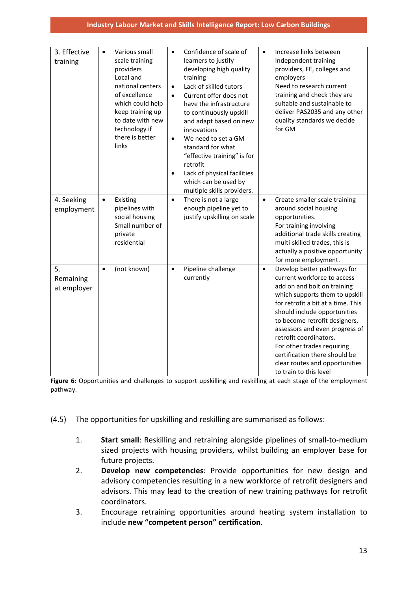| 3. Effective<br>training       | Various small<br>$\bullet$<br>scale training<br>providers<br>Local and<br>national centers<br>of excellence<br>which could help<br>keep training up<br>to date with new<br>technology if<br>there is better<br>links | Confidence of scale of<br>$\bullet$<br>learners to justify<br>developing high quality<br>training<br>Lack of skilled tutors<br>$\bullet$<br>Current offer does not<br>$\bullet$<br>have the infrastructure<br>to continuously upskill<br>and adapt based on new<br>innovations<br>We need to set a GM<br>$\bullet$<br>standard for what<br>"effective training" is for<br>retrofit<br>Lack of physical facilities<br>$\bullet$<br>which can be used by<br>multiple skills providers. | Increase links between<br>$\bullet$<br>Independent training<br>providers, FE, colleges and<br>employers<br>Need to research current<br>training and check they are<br>suitable and sustainable to<br>deliver PAS2035 and any other<br>quality standards we decide<br>for GM                                                                                                                                                            |
|--------------------------------|----------------------------------------------------------------------------------------------------------------------------------------------------------------------------------------------------------------------|--------------------------------------------------------------------------------------------------------------------------------------------------------------------------------------------------------------------------------------------------------------------------------------------------------------------------------------------------------------------------------------------------------------------------------------------------------------------------------------|----------------------------------------------------------------------------------------------------------------------------------------------------------------------------------------------------------------------------------------------------------------------------------------------------------------------------------------------------------------------------------------------------------------------------------------|
| 4. Seeking<br>employment       | $\bullet$<br>Existing<br>pipelines with<br>social housing<br>Small number of<br>private<br>residential                                                                                                               | There is not a large<br>$\bullet$<br>enough pipeline yet to<br>justify upskilling on scale                                                                                                                                                                                                                                                                                                                                                                                           | Create smaller scale training<br>$\bullet$<br>around social housing<br>opportunities.<br>For training involving<br>additional trade skills creating<br>multi-skilled trades, this is<br>actually a positive opportunity<br>for more employment.                                                                                                                                                                                        |
| 5.<br>Remaining<br>at employer | (not known)<br>$\bullet$                                                                                                                                                                                             | Pipeline challenge<br>$\bullet$<br>currently                                                                                                                                                                                                                                                                                                                                                                                                                                         | Develop better pathways for<br>$\bullet$<br>current workforce to access<br>add on and bolt on training<br>which supports them to upskill<br>for retrofit a bit at a time. This<br>should include opportunities<br>to become retrofit designers,<br>assessors and even progress of<br>retrofit coordinators.<br>For other trades requiring<br>certification there should be<br>clear routes and opportunities<br>to train to this level |

**Figure 6:** Opportunities and challenges to support upskilling and reskilling at each stage of the employment pathway.

- (4.5) The opportunities for upskilling and reskilling are summarised as follows:
	- 1. **Start small**: Reskilling and retraining alongside pipelines of small-to-medium sized projects with housing providers, whilst building an employer base for future projects.
	- 2. **Develop new competencies**: Provide opportunities for new design and advisory competencies resulting in a new workforce of retrofit designers and advisors. This may lead to the creation of new training pathways for retrofit coordinators.
	- 3. Encourage retraining opportunities around heating system installation to include **new "competent person" certification**.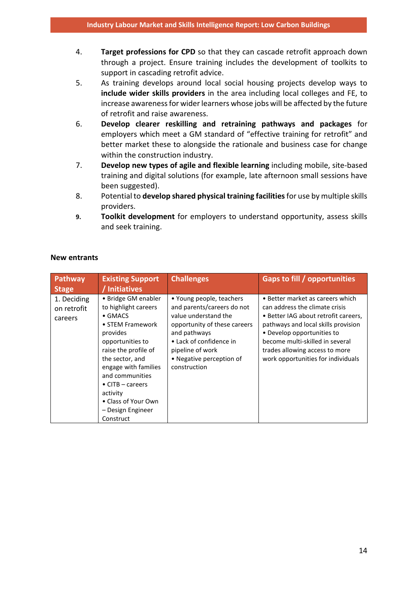- 4. **Target professions for CPD** so that they can cascade retrofit approach down through a project. Ensure training includes the development of toolkits to support in cascading retrofit advice.
- 5. As training develops around local social housing projects develop ways to **include wider skills providers** in the area including local colleges and FE, to increase awareness for wider learners whose jobs will be affected by the future of retrofit and raise awareness.
- 6. **Develop clearer reskilling and retraining pathways and packages** for employers which meet a GM standard of "effective training for retrofit" and better market these to alongside the rationale and business case for change within the construction industry.
- 7. **Develop new types of agile and flexible learning** including mobile, site-based training and digital solutions (for example, late afternoon small sessions have been suggested).
- 8. Potential to **develop shared physical training facilities**for use by multiple skills providers.
- **9. Toolkit development** for employers to understand opportunity, assess skills and seek training.

| Pathway<br><b>Stage</b>               | <b>Existing Support</b><br>/ Initiatives                                                                                                                                                                                                                                                                  | <b>Challenges</b>                                                                                                                                                                                                         | Gaps to fill / opportunities                                                                                                                                                                                                                                                               |
|---------------------------------------|-----------------------------------------------------------------------------------------------------------------------------------------------------------------------------------------------------------------------------------------------------------------------------------------------------------|---------------------------------------------------------------------------------------------------------------------------------------------------------------------------------------------------------------------------|--------------------------------------------------------------------------------------------------------------------------------------------------------------------------------------------------------------------------------------------------------------------------------------------|
| 1. Deciding<br>on retrofit<br>careers | • Bridge GM enabler<br>to highlight careers<br>$\bullet$ GMACS<br>• STEM Framework<br>provides<br>opportunities to<br>raise the profile of<br>the sector, and<br>engage with families<br>and communities<br>$\bullet$ CITB – careers<br>activity<br>• Class of Your Own<br>– Design Engineer<br>Construct | • Young people, teachers<br>and parents/careers do not<br>value understand the<br>opportunity of these careers<br>and pathways<br>• Lack of confidence in<br>pipeline of work<br>• Negative perception of<br>construction | • Better market as careers which<br>can address the climate crisis<br>• Better IAG about retrofit careers,<br>pathways and local skills provision<br>• Develop opportunities to<br>become multi-skilled in several<br>trades allowing access to more<br>work opportunities for individuals |

### **New entrants**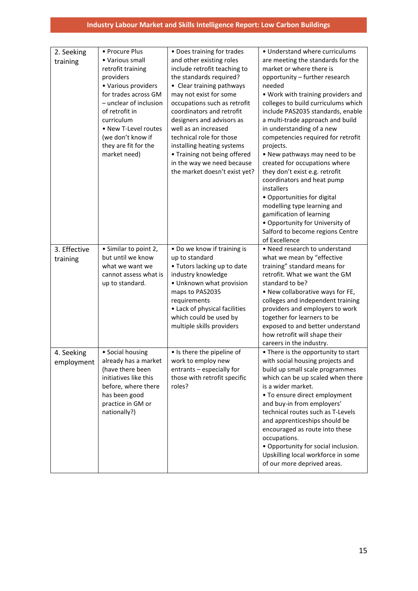| 2. Seeking   | • Procure Plus               | • Does training for trades                        | • Understand where curriculums                                  |
|--------------|------------------------------|---------------------------------------------------|-----------------------------------------------------------------|
| training     | • Various small              | and other existing roles                          | are meeting the standards for the                               |
|              | retrofit training            | include retrofit teaching to                      | market or where there is                                        |
|              | providers                    | the standards required?                           | opportunity - further research                                  |
|              | • Various providers          | • Clear training pathways                         | needed                                                          |
|              | for trades across GM         | may not exist for some                            | . Work with training providers and                              |
|              | - unclear of inclusion       | occupations such as retrofit                      | colleges to build curriculums which                             |
|              | of retrofit in<br>curriculum | coordinators and retrofit                         | include PAS2035 standards, enable                               |
|              | • New T-Level routes         | designers and advisors as<br>well as an increased | a multi-trade approach and build                                |
|              | (we don't know if            | technical role for those                          | in understanding of a new                                       |
|              | they are fit for the         | installing heating systems                        | competencies required for retrofit                              |
|              | market need)                 | • Training not being offered                      | projects.                                                       |
|              |                              | in the way we need because                        | • New pathways may need to be<br>created for occupations where  |
|              |                              | the market doesn't exist yet?                     | they don't exist e.g. retrofit                                  |
|              |                              |                                                   | coordinators and heat pump                                      |
|              |                              |                                                   | installers                                                      |
|              |                              |                                                   | • Opportunities for digital                                     |
|              |                              |                                                   | modelling type learning and                                     |
|              |                              |                                                   | gamification of learning                                        |
|              |                              |                                                   | • Opportunity for University of                                 |
|              |                              |                                                   | Salford to become regions Centre                                |
|              |                              |                                                   | of Excellence                                                   |
| 3. Effective | • Similar to point 2,        | • Do we know if training is                       | • Need research to understand                                   |
| training     | but until we know            | up to standard                                    | what we mean by "effective                                      |
|              | what we want we              | • Tutors lacking up to date                       | training" standard means for                                    |
|              | cannot assess what is        | industry knowledge                                | retrofit. What we want the GM                                   |
|              | up to standard.              | • Unknown what provision                          | standard to be?                                                 |
|              |                              | maps to PAS2035                                   | . New collaborative ways for FE,                                |
|              |                              | requirements                                      | colleges and independent training                               |
|              |                              | • Lack of physical facilities                     | providers and employers to work                                 |
|              |                              | which could be used by                            | together for learners to be                                     |
|              |                              | multiple skills providers                         | exposed to and better understand                                |
|              |                              |                                                   | how retrofit will shape their                                   |
|              |                              |                                                   | careers in the industry.                                        |
| 4. Seeking   | • Social housing             | • Is there the pipeline of                        | • There is the opportunity to start                             |
| employment   | already has a market         | work to employ new                                | with social housing projects and                                |
|              | (have there been             | entrants - especially for                         | build up small scale programmes                                 |
|              | initiatives like this        | those with retrofit specific                      | which can be up scaled when there                               |
|              | before, where there          | roles?                                            | is a wider market.                                              |
|              | has been good                |                                                   | • To ensure direct employment                                   |
|              | practice in GM or            |                                                   | and buy-in from employers'<br>technical routes such as T-Levels |
|              | nationally?)                 |                                                   |                                                                 |
|              |                              |                                                   | and apprenticeships should be<br>encouraged as route into these |
|              |                              |                                                   | occupations.                                                    |
|              |                              |                                                   | • Opportunity for social inclusion.                             |
|              |                              |                                                   | Upskilling local workforce in some                              |
|              |                              |                                                   | of our more deprived areas.                                     |
|              |                              |                                                   |                                                                 |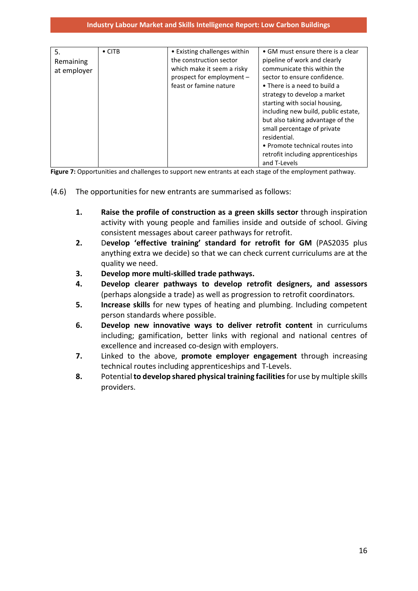| 5.<br>Remaining<br>at employer | $\bullet$ CITB | • Existing challenges within<br>the construction sector<br>which make it seem a risky<br>prospect for employment -<br>feast or famine nature | • GM must ensure there is a clear<br>pipeline of work and clearly<br>communicate this within the<br>sector to ensure confidence.<br>• There is a need to build a<br>strategy to develop a market<br>starting with social housing,<br>including new build, public estate,<br>but also taking advantage of the<br>small percentage of private<br>residential.<br>• Promote technical routes into<br>retrofit including apprenticeships<br>and T-Levels |
|--------------------------------|----------------|----------------------------------------------------------------------------------------------------------------------------------------------|------------------------------------------------------------------------------------------------------------------------------------------------------------------------------------------------------------------------------------------------------------------------------------------------------------------------------------------------------------------------------------------------------------------------------------------------------|

Figure 7: Opportunities and challenges to support new entrants at each stage of the employment pathway.

- (4.6) The opportunities for new entrants are summarised as follows:
	- **1. Raise the profile of construction as a green skills sector** through inspiration activity with young people and families inside and outside of school. Giving consistent messages about career pathways for retrofit.
	- **2.** D**evelop 'effective training' standard for retrofit for GM** (PAS2035 plus anything extra we decide) so that we can check current curriculums are at the quality we need.
	- **3. Develop more multi-skilled trade pathways.**
	- **4. Develop clearer pathways to develop retrofit designers, and assessors** (perhaps alongside a trade) as well as progression to retrofit coordinators.
	- **5. Increase skills** for new types of heating and plumbing. Including competent person standards where possible.
	- **6. Develop new innovative ways to deliver retrofit content** in curriculums including; gamification, better links with regional and national centres of excellence and increased co-design with employers.
	- **7.** Linked to the above, **promote employer engagement** through increasing technical routes including apprenticeships and T-Levels.
	- **8.** Potential **to develop shared physical training facilities**for use by multiple skills providers.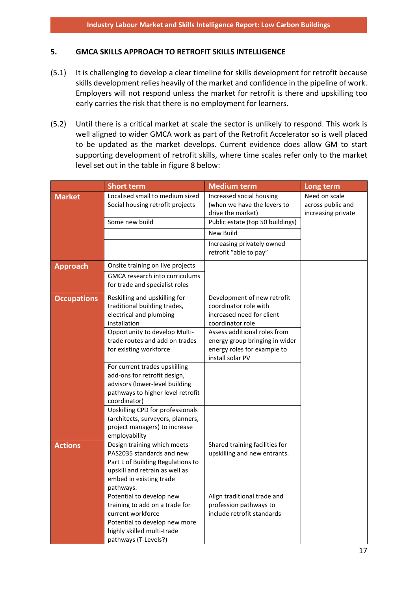#### **5. GMCA SKILLS APPROACH TO RETROFIT SKILLS INTELLIGENCE**

- (5.1) It is challenging to develop a clear timeline for skills development for retrofit because skills development relies heavily of the market and confidence in the pipeline of work. Employers will not respond unless the market for retrofit is there and upskilling too early carries the risk that there is no employment for learners.
- (5.2) Until there is a critical market at scale the sector is unlikely to respond. This work is well aligned to wider GMCA work as part of the Retrofit Accelerator so is well placed to be updated as the market develops. Current evidence does allow GM to start supporting development of retrofit skills, where time scales refer only to the market level set out in the table in figure 8 below:

|                    | <b>Short term</b>                                                                                                                                                       | <b>Medium term</b>                                                                                                | Long term                                                |
|--------------------|-------------------------------------------------------------------------------------------------------------------------------------------------------------------------|-------------------------------------------------------------------------------------------------------------------|----------------------------------------------------------|
| <b>Market</b>      | Localised small to medium sized<br>Social housing retrofit projects                                                                                                     | Increased social housing<br>(when we have the levers to<br>drive the market)                                      | Need on scale<br>across public and<br>increasing private |
|                    | Some new build                                                                                                                                                          | Public estate (top 50 buildings)                                                                                  |                                                          |
|                    |                                                                                                                                                                         | <b>New Build</b>                                                                                                  |                                                          |
|                    |                                                                                                                                                                         | Increasing privately owned<br>retrofit "able to pay"                                                              |                                                          |
| <b>Approach</b>    | Onsite training on live projects                                                                                                                                        |                                                                                                                   |                                                          |
|                    | <b>GMCA research into curriculums</b><br>for trade and specialist roles                                                                                                 |                                                                                                                   |                                                          |
| <b>Occupations</b> | Reskilling and upskilling for<br>traditional building trades,<br>electrical and plumbing<br>installation                                                                | Development of new retrofit<br>coordinator role with<br>increased need for client<br>coordinator role             |                                                          |
|                    | Opportunity to develop Multi-<br>trade routes and add on trades<br>for existing workforce                                                                               | Assess additional roles from<br>energy group bringing in wider<br>energy roles for example to<br>install solar PV |                                                          |
|                    | For current trades upskilling<br>add-ons for retrofit design,<br>advisors (lower-level building<br>pathways to higher level retrofit<br>coordinator)                    |                                                                                                                   |                                                          |
|                    | Upskilling CPD for professionals<br>(architects, surveyors, planners,<br>project managers) to increase<br>employability                                                 |                                                                                                                   |                                                          |
| <b>Actions</b>     | Design training which meets<br>PAS2035 standards and new<br>Part L of Building Regulations to<br>upskill and retrain as well as<br>embed in existing trade<br>pathways. | Shared training facilities for<br>upskilling and new entrants.                                                    |                                                          |
|                    | Potential to develop new<br>training to add on a trade for<br>current workforce<br>Potential to develop new more<br>highly skilled multi-trade<br>pathways (T-Levels?)  | Align traditional trade and<br>profession pathways to<br>include retrofit standards                               |                                                          |